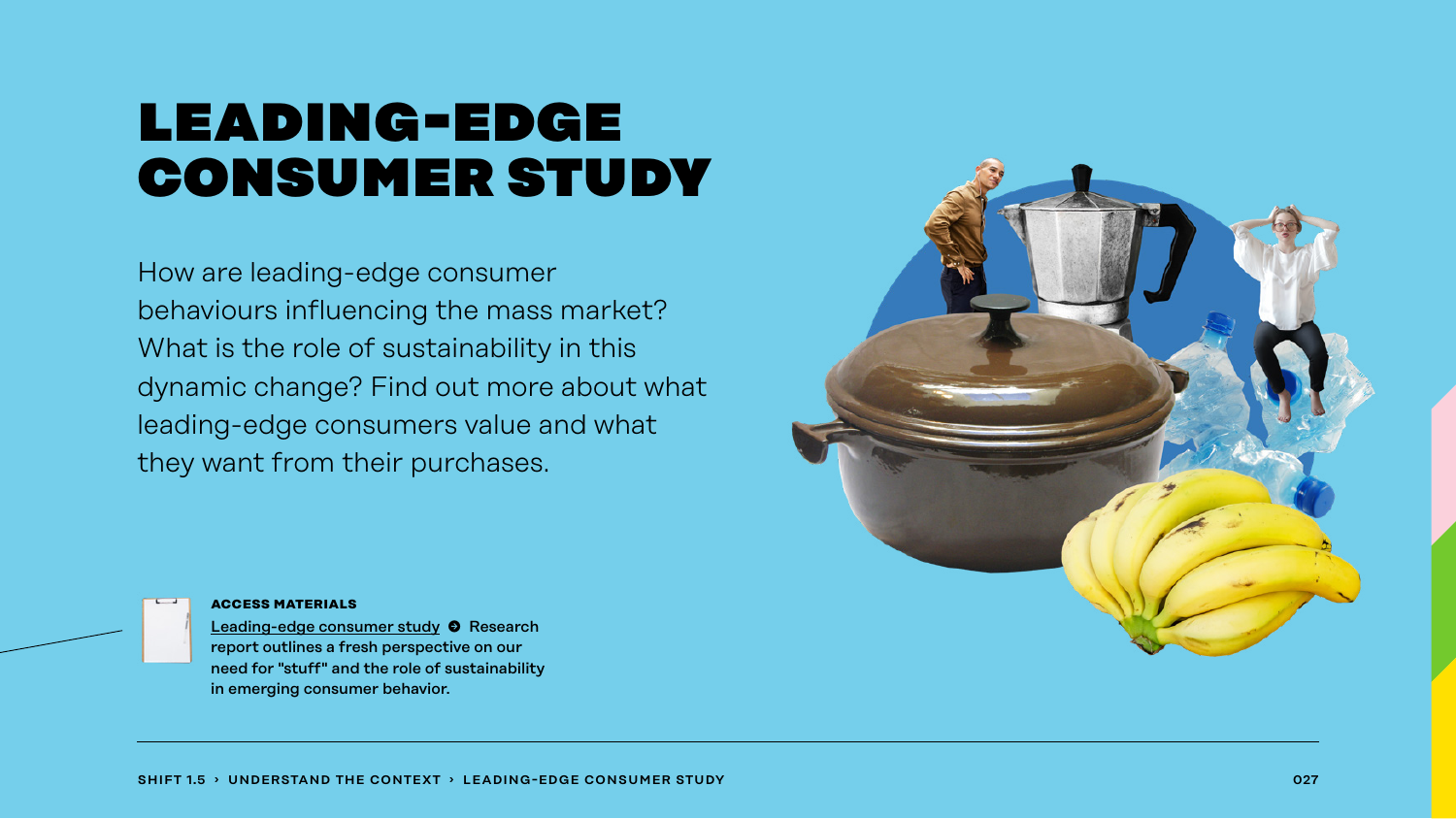## leading-edge consumer study

How are leading-edge consumer behaviours influencing the mass market? What is the role of sustainability in this dynamic change? Find out more about what leading-edge consumers value and what they want from their purchases.



### **access materials**

[Leading-edge consumer study](https://media.sitra.fi/2017/05/05143553/Selvityksia122.pdf)  $\bullet$  Research report outlines a fresh perspective on our need for "stuff" and the role of sustainability in emerging consumer behavior.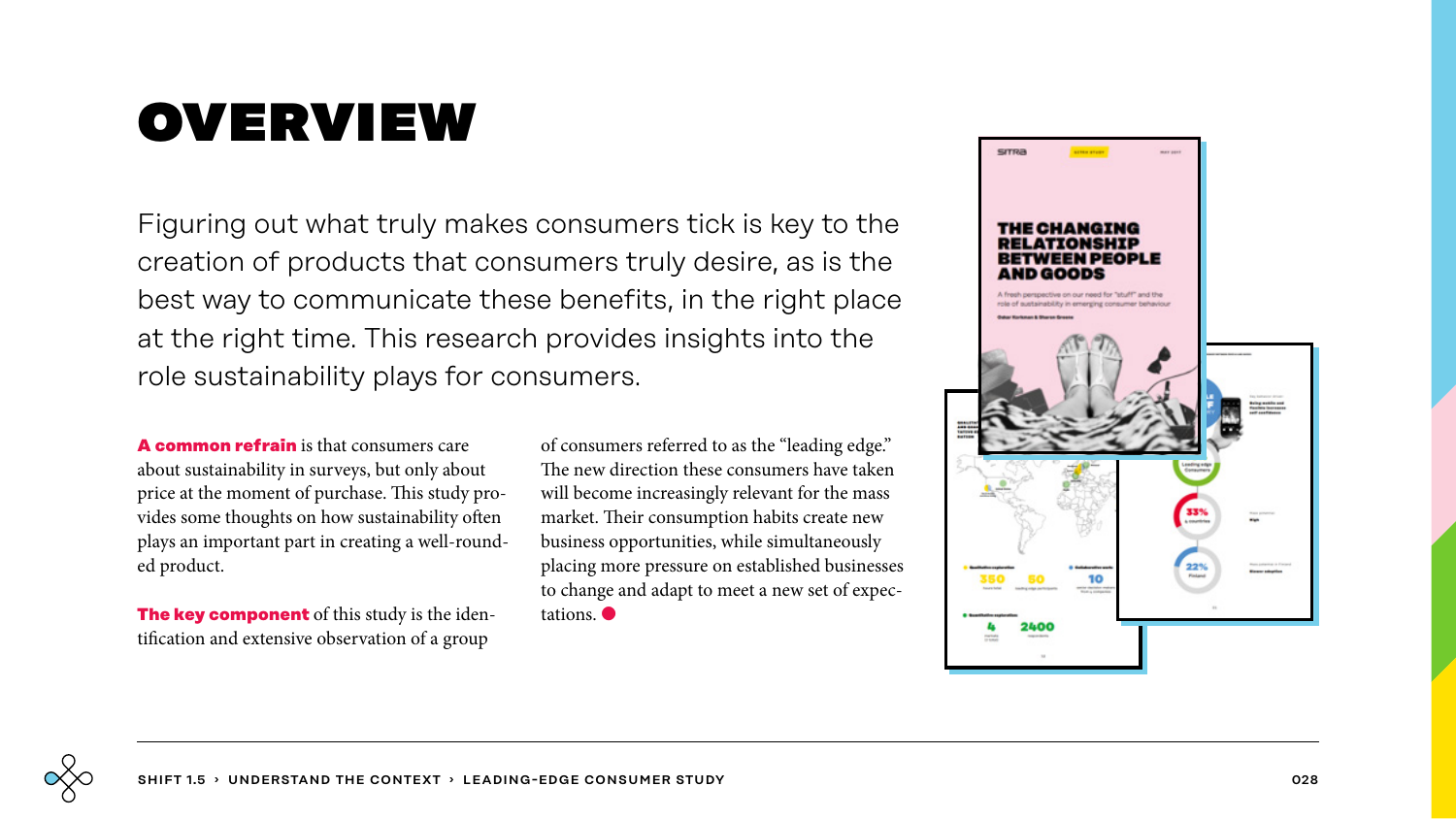# overview

Figuring out what truly makes consumers tick is key to the creation of products that consumers truly desire, as is the best way to communicate these benefits, in the right place at the right time. This research provides insights into the role sustainability plays for consumers.

**A common refrain** is that consumers care about sustainability in surveys, but only about price at the moment of purchase. This study provides some thoughts on how sustainability often plays an important part in creating a well-rounded product.

**The key component** of this study is the identification and extensive observation of a group

of consumers referred to as the "leading edge." The new direction these consumers have taken will become increasingly relevant for the mass market. Their consumption habits create new business opportunities, while simultaneously placing more pressure on established businesses to change and adapt to meet a new set of expectations. ●

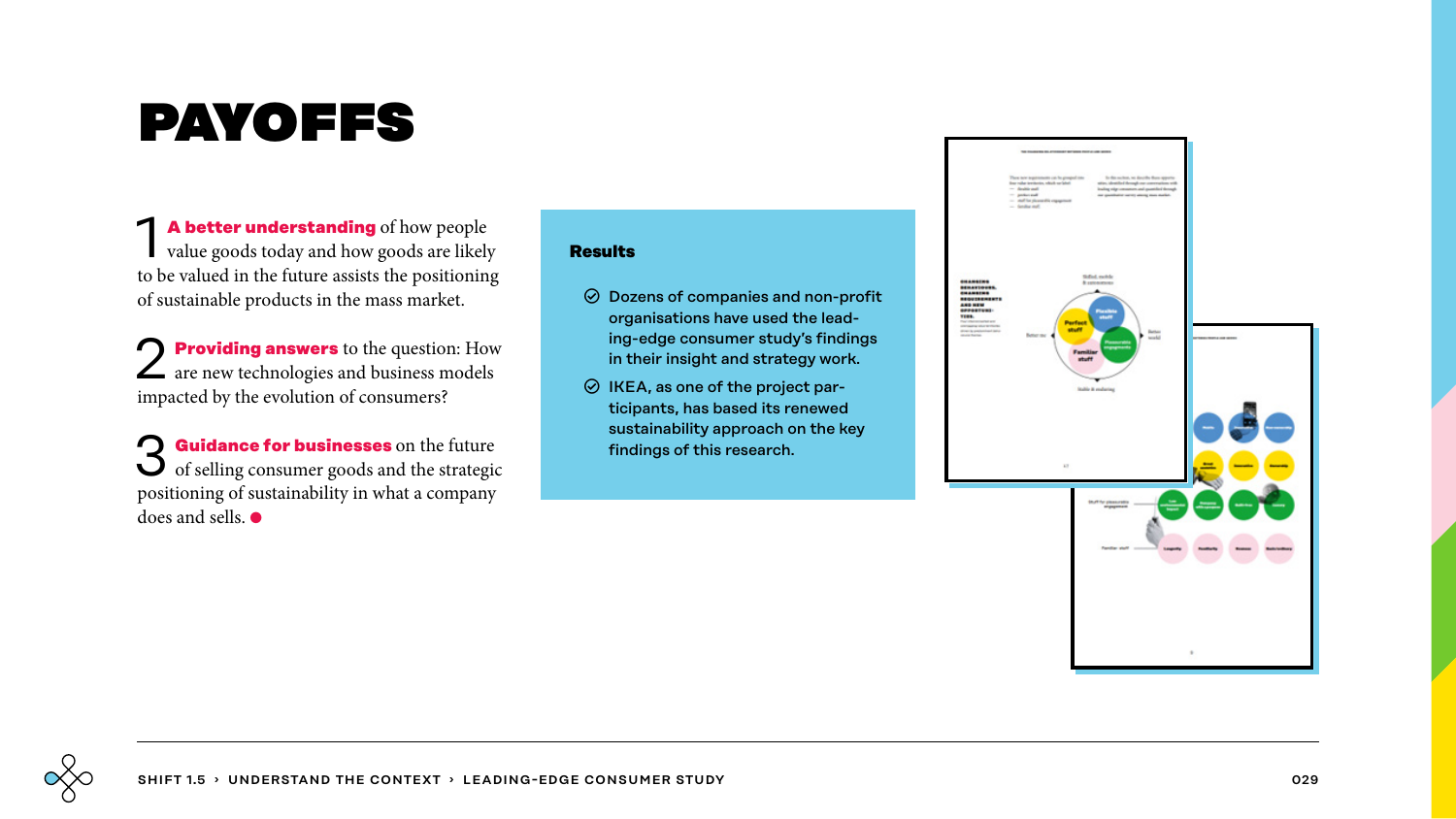# payoffs

1 **A better understanding** of how people value goods today and how goods are likely to be valued in the future assists the positioning of sustainable products in the mass market.

2 **Providing answers** to the question: How are new technologies and business models impacted by the evolution of consumers?

**3 Guidance for businesses** on the future of selling consumer goods and the strategic positioning of sustainability in what a company does and sells. ●

## **Results**

- $\odot$  Dozens of companies and non-profit organisations have used the leading-edge consumer study's findings in their insight and strategy work.
- $\odot$  IKEA, as one of the project participants, has based its renewed sustainability approach on the key findings of this research.